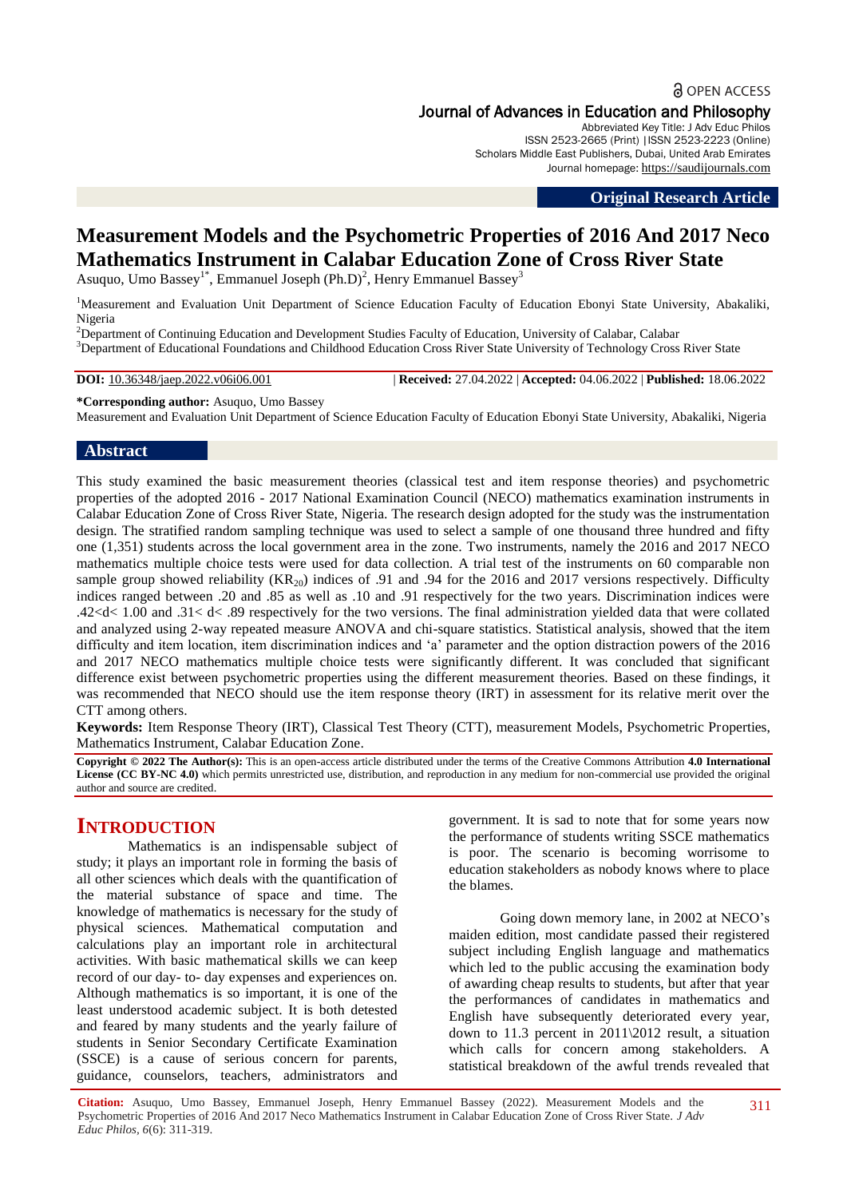**a** OPEN ACCESS Journal of Advances in Education and Philosophy

Abbreviated Key Title: J Adv Educ Philos

ISSN 2523-2665 (Print) |ISSN 2523-2223 (Online) Scholars Middle East Publishers, Dubai, United Arab Emirates Journal homepage: [https://saudijournals.com](https://saudijournals.com/jaep)

**Original Research Article**

# **Measurement Models and the Psychometric Properties of 2016 And 2017 Neco Mathematics Instrument in Calabar Education Zone of Cross River State**

Asuquo, Umo Bassey<sup>1\*</sup>, Emmanuel Joseph (Ph.D)<sup>2</sup>, Henry Emmanuel Bassey<sup>3</sup>

<sup>1</sup>Measurement and Evaluation Unit Department of Science Education Faculty of Education Ebonyi State University, Abakaliki, Nigeria

 ${}^{2}$ Department of Continuing Education and Development Studies Faculty of Education, University of Calabar, Calabar <sup>3</sup>Department of Educational Foundations and Childhood Education Cross River State University of Technology Cross River State

**DOI:** 10.36348/jaep.2022.v06i06.001 | **Received:** 27.04.2022 | **Accepted:** 04.06.2022 | **Published:** 18.06.2022

**\*Corresponding author:** Asuquo, Umo Bassey

Measurement and Evaluation Unit Department of Science Education Faculty of Education Ebonyi State University, Abakaliki, Nigeria

### **Abstract**

This study examined the basic measurement theories (classical test and item response theories) and psychometric properties of the adopted 2016 - 2017 National Examination Council (NECO) mathematics examination instruments in Calabar Education Zone of Cross River State, Nigeria. The research design adopted for the study was the instrumentation design. The stratified random sampling technique was used to select a sample of one thousand three hundred and fifty one (1,351) students across the local government area in the zone. Two instruments, namely the 2016 and 2017 NECO mathematics multiple choice tests were used for data collection. A trial test of the instruments on 60 comparable non sample group showed reliability  $(KR_{20})$  indices of .91 and .94 for the 2016 and 2017 versions respectively. Difficulty indices ranged between .20 and .85 as well as .10 and .91 respectively for the two years. Discrimination indices were .42<d< 1.00 and .31< d< .89 respectively for the two versions. The final administration yielded data that were collated and analyzed using 2-way repeated measure ANOVA and chi-square statistics. Statistical analysis, showed that the item difficulty and item location, item discrimination indices and "a" parameter and the option distraction powers of the 2016 and 2017 NECO mathematics multiple choice tests were significantly different. It was concluded that significant difference exist between psychometric properties using the different measurement theories. Based on these findings, it was recommended that NECO should use the item response theory (IRT) in assessment for its relative merit over the CTT among others.

**Keywords:** Item Response Theory (IRT), Classical Test Theory (CTT), measurement Models, Psychometric Properties, Mathematics Instrument, Calabar Education Zone.

**Copyright © 2022 The Author(s):** This is an open-access article distributed under the terms of the Creative Commons Attribution **4.0 International License (CC BY-NC 4.0)** which permits unrestricted use, distribution, and reproduction in any medium for non-commercial use provided the original author and source are credited.

# **INTRODUCTION**

Mathematics is an indispensable subject of study; it plays an important role in forming the basis of all other sciences which deals with the quantification of the material substance of space and time. The knowledge of mathematics is necessary for the study of physical sciences. Mathematical computation and calculations play an important role in architectural activities. With basic mathematical skills we can keep record of our day- to- day expenses and experiences on. Although mathematics is so important, it is one of the least understood academic subject. It is both detested and feared by many students and the yearly failure of students in Senior Secondary Certificate Examination (SSCE) is a cause of serious concern for parents, guidance, counselors, teachers, administrators and

government. It is sad to note that for some years now the performance of students writing SSCE mathematics is poor. The scenario is becoming worrisome to education stakeholders as nobody knows where to place the blames.

Going down memory lane, in 2002 at NECO"s maiden edition, most candidate passed their registered subject including English language and mathematics which led to the public accusing the examination body of awarding cheap results to students, but after that year the performances of candidates in mathematics and English have subsequently deteriorated every year, down to 11.3 percent in 2011\2012 result, a situation which calls for concern among stakeholders. A statistical breakdown of the awful trends revealed that

**Citation:** Asuquo, Umo Bassey, Emmanuel Joseph, Henry Emmanuel Bassey (2022). Measurement Models and the Psychometric Properties of 2016 And 2017 Neco Mathematics Instrument in Calabar Education Zone of Cross River State. *J Adv Educ Philos, 6*(6): 311-319.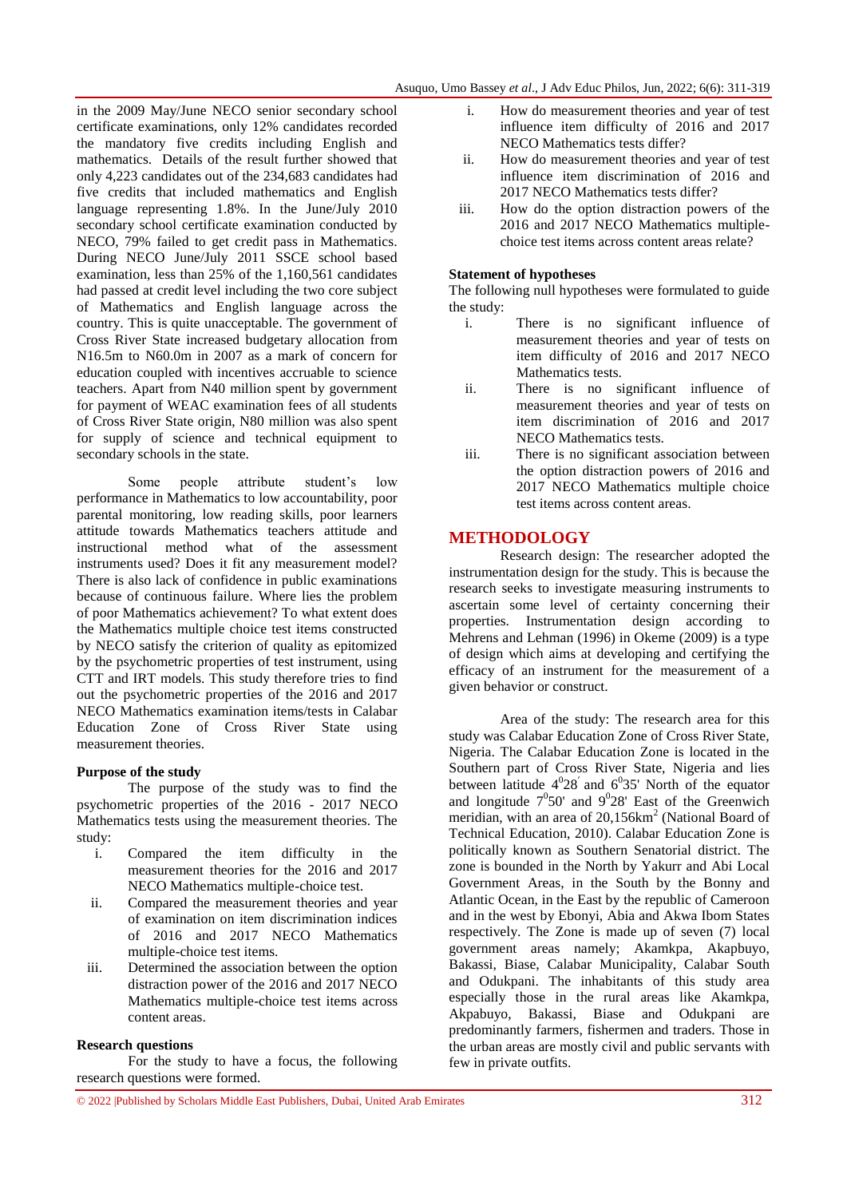in the 2009 May/June NECO senior secondary school certificate examinations, only 12% candidates recorded the mandatory five credits including English and mathematics. Details of the result further showed that only 4,223 candidates out of the 234,683 candidates had five credits that included mathematics and English language representing 1.8%. In the June/July 2010 secondary school certificate examination conducted by NECO, 79% failed to get credit pass in Mathematics. During NECO June/July 2011 SSCE school based examination, less than 25% of the 1,160,561 candidates had passed at credit level including the two core subject of Mathematics and English language across the country. This is quite unacceptable. The government of Cross River State increased budgetary allocation from N16.5m to N60.0m in 2007 as a mark of concern for education coupled with incentives accruable to science teachers. Apart from N40 million spent by government for payment of WEAC examination fees of all students of Cross River State origin, N80 million was also spent for supply of science and technical equipment to secondary schools in the state.

Some people attribute student's low performance in Mathematics to low accountability, poor parental monitoring, low reading skills, poor learners attitude towards Mathematics teachers attitude and instructional method what of the assessment instruments used? Does it fit any measurement model? There is also lack of confidence in public examinations because of continuous failure. Where lies the problem of poor Mathematics achievement? To what extent does the Mathematics multiple choice test items constructed by NECO satisfy the criterion of quality as epitomized by the psychometric properties of test instrument, using CTT and IRT models. This study therefore tries to find out the psychometric properties of the 2016 and 2017 NECO Mathematics examination items/tests in Calabar Education Zone of Cross River State using measurement theories.

#### **Purpose of the study**

The purpose of the study was to find the psychometric properties of the 2016 - 2017 NECO Mathematics tests using the measurement theories. The study:

- i. Compared the item difficulty in the measurement theories for the 2016 and 2017 NECO Mathematics multiple-choice test.
- ii. Compared the measurement theories and year of examination on item discrimination indices of 2016 and 2017 NECO Mathematics multiple-choice test items.
- iii. Determined the association between the option distraction power of the 2016 and 2017 NECO Mathematics multiple-choice test items across content areas.

#### **Research questions**

For the study to have a focus, the following research questions were formed.

- i. How do measurement theories and year of test influence item difficulty of 2016 and 2017 NECO Mathematics tests differ?
- ii. How do measurement theories and year of test influence item discrimination of 2016 and 2017 NECO Mathematics tests differ?
- iii. How do the option distraction powers of the 2016 and 2017 NECO Mathematics multiplechoice test items across content areas relate?

### **Statement of hypotheses**

The following null hypotheses were formulated to guide the study:

- i. There is no significant influence of measurement theories and year of tests on item difficulty of 2016 and 2017 NECO Mathematics tests.
- ii. There is no significant influence of measurement theories and year of tests on item discrimination of 2016 and 2017 NECO Mathematics tests.
- iii. There is no significant association between the option distraction powers of 2016 and 2017 NECO Mathematics multiple choice test items across content areas.

# **METHODOLOGY**

Research design: The researcher adopted the instrumentation design for the study. This is because the research seeks to investigate measuring instruments to ascertain some level of certainty concerning their properties. Instrumentation design according to Mehrens and Lehman (1996) in Okeme (2009) is a type of design which aims at developing and certifying the efficacy of an instrument for the measurement of a given behavior or construct.

Area of the study: The research area for this study was Calabar Education Zone of Cross River State, Nigeria. The Calabar Education Zone is located in the Southern part of Cross River State, Nigeria and lies between latitude  $4^{0}28'$  and  $6^{0}35'$  North of the equator and longitude  $7^0$ 50' and  $9^0$ 28' East of the Greenwich meridian, with an area of 20,156km<sup>2</sup> (National Board of Technical Education, 2010). Calabar Education Zone is politically known as Southern Senatorial district. The zone is bounded in the North by Yakurr and Abi Local Government Areas, in the South by the Bonny and Atlantic Ocean, in the East by the republic of Cameroon and in the west by Ebonyi, Abia and Akwa Ibom States respectively. The Zone is made up of seven (7) local government areas namely; Akamkpa, Akapbuyo, Bakassi, Biase, Calabar Municipality, Calabar South and Odukpani. The inhabitants of this study area especially those in the rural areas like Akamkpa, Akpabuyo, Bakassi, Biase and Odukpani are predominantly farmers, fishermen and traders. Those in the urban areas are mostly civil and public servants with few in private outfits.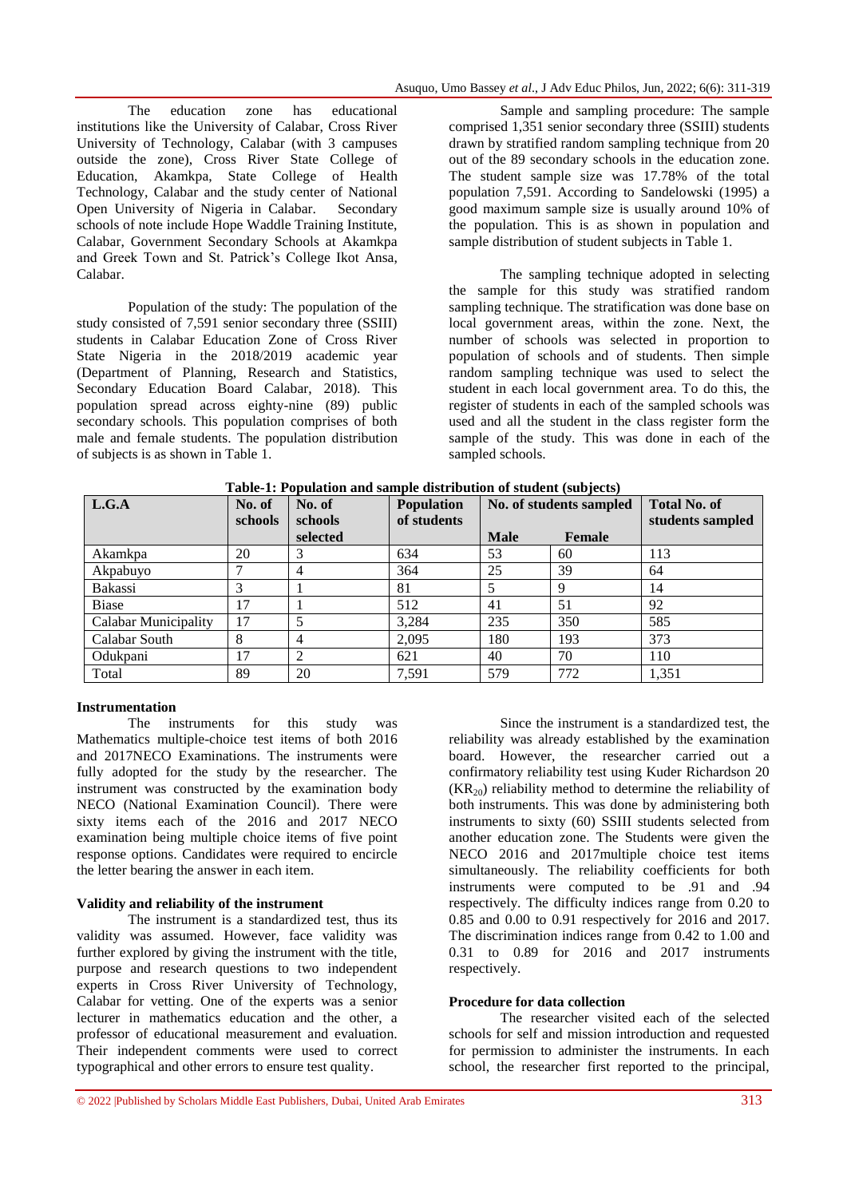The education zone has educational institutions like the University of Calabar, Cross River University of Technology, Calabar (with 3 campuses outside the zone), Cross River State College of Education, Akamkpa, State College of Health Technology, Calabar and the study center of National Open University of Nigeria in Calabar. Secondary schools of note include Hope Waddle Training Institute, Calabar, Government Secondary Schools at Akamkpa and Greek Town and St. Patrick"s College Ikot Ansa, Calabar.

Population of the study: The population of the study consisted of 7,591 senior secondary three (SSIII) students in Calabar Education Zone of Cross River State Nigeria in the 2018/2019 academic year (Department of Planning, Research and Statistics, Secondary Education Board Calabar, 2018). This population spread across eighty-nine (89) public secondary schools. This population comprises of both male and female students. The population distribution of subjects is as shown in Table 1.

Sample and sampling procedure: The sample comprised 1,351 senior secondary three (SSIII) students drawn by stratified random sampling technique from 20 out of the 89 secondary schools in the education zone. The student sample size was 17.78% of the total population 7,591. According to Sandelowski (1995) a good maximum sample size is usually around 10% of the population. This is as shown in population and sample distribution of student subjects in Table 1.

The sampling technique adopted in selecting the sample for this study was stratified random sampling technique. The stratification was done base on local government areas, within the zone. Next, the number of schools was selected in proportion to population of schools and of students. Then simple random sampling technique was used to select the student in each local government area. To do this, the register of students in each of the sampled schools was used and all the student in the class register form the sample of the study. This was done in each of the sampled schools.

| L.G.A                | No. of  | No. of              | <b>Population</b> | No. of students sampled |               | <b>Total No. of</b> |
|----------------------|---------|---------------------|-------------------|-------------------------|---------------|---------------------|
|                      | schools | schools<br>selected | of students       | <b>Male</b>             | <b>Female</b> | students sampled    |
| Akamkpa              | 20      |                     | 634               | 53                      | 60            | 113                 |
| Akpabuyo             |         | 4                   | 364               | 25                      | 39            | 64                  |
| <b>Bakassi</b>       |         |                     | 81                | 5                       | 9             | 14                  |
| <b>Biase</b>         | 17      |                     | 512               | 41                      | 51            | 92                  |
| Calabar Municipality | 17      |                     | 3.284             | 235                     | 350           | 585                 |
| Calabar South        | 8       | 4                   | 2,095             | 180                     | 193           | 373                 |
| Odukpani             | 17      |                     | 621               | 40                      | 70            | 110                 |
| Total                | 89      | 20                  | 7,591             | 579                     | 772           | 1,351               |

**Table-1: Population and sample distribution of student (subjects)**

#### **Instrumentation**

The instruments for this study was Mathematics multiple-choice test items of both 2016 and 2017NECO Examinations. The instruments were fully adopted for the study by the researcher. The instrument was constructed by the examination body NECO (National Examination Council). There were sixty items each of the 2016 and 2017 NECO examination being multiple choice items of five point response options. Candidates were required to encircle the letter bearing the answer in each item.

#### **Validity and reliability of the instrument**

The instrument is a standardized test, thus its validity was assumed. However, face validity was further explored by giving the instrument with the title, purpose and research questions to two independent experts in Cross River University of Technology, Calabar for vetting. One of the experts was a senior lecturer in mathematics education and the other, a professor of educational measurement and evaluation. Their independent comments were used to correct typographical and other errors to ensure test quality.

Since the instrument is a standardized test, the reliability was already established by the examination board. However, the researcher carried out a confirmatory reliability test using Kuder Richardson 20  $(KR_{20})$  reliability method to determine the reliability of both instruments. This was done by administering both instruments to sixty (60) SSIII students selected from another education zone. The Students were given the NECO 2016 and 2017 multiple choice test items simultaneously. The reliability coefficients for both instruments were computed to be .91 and .94 respectively. The difficulty indices range from 0.20 to 0.85 and 0.00 to 0.91 respectively for 2016 and 2017. The discrimination indices range from 0.42 to 1.00 and 0.31 to 0.89 for 2016 and 2017 instruments respectively.

#### **Procedure for data collection**

The researcher visited each of the selected schools for self and mission introduction and requested for permission to administer the instruments. In each school, the researcher first reported to the principal,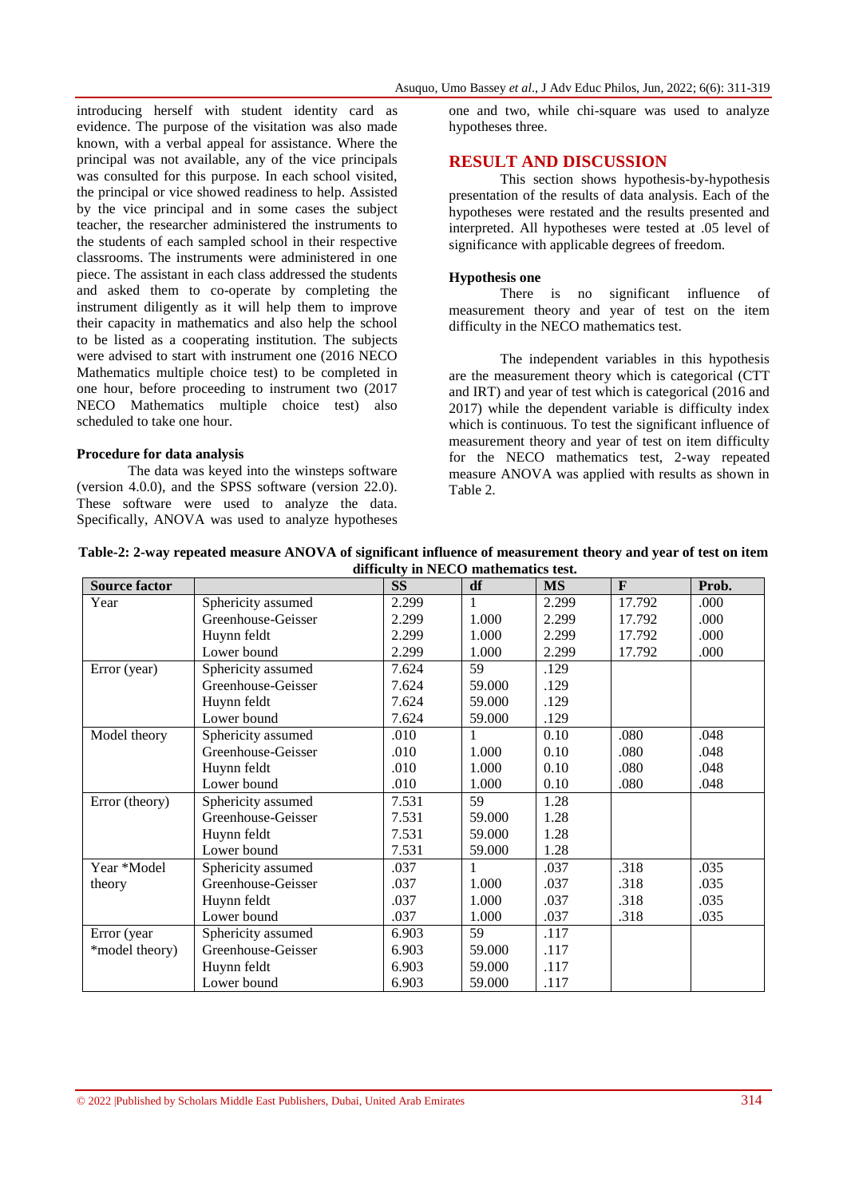introducing herself with student identity card as evidence. The purpose of the visitation was also made known, with a verbal appeal for assistance. Where the principal was not available, any of the vice principals was consulted for this purpose. In each school visited, the principal or vice showed readiness to help. Assisted by the vice principal and in some cases the subject teacher, the researcher administered the instruments to the students of each sampled school in their respective classrooms. The instruments were administered in one piece. The assistant in each class addressed the students and asked them to co-operate by completing the instrument diligently as it will help them to improve their capacity in mathematics and also help the school to be listed as a cooperating institution. The subjects were advised to start with instrument one (2016 NECO Mathematics multiple choice test) to be completed in one hour, before proceeding to instrument two (2017 NECO Mathematics multiple choice test) also scheduled to take one hour.

#### **Procedure for data analysis**

The data was keyed into the winsteps software (version 4.0.0), and the SPSS software (version 22.0). These software were used to analyze the data. Specifically, ANOVA was used to analyze hypotheses one and two, while chi-square was used to analyze hypotheses three.

#### **RESULT AND DISCUSSION**

This section shows hypothesis-by-hypothesis presentation of the results of data analysis. Each of the hypotheses were restated and the results presented and interpreted. All hypotheses were tested at .05 level of significance with applicable degrees of freedom.

#### **Hypothesis one**

There is no significant influence of measurement theory and year of test on the item difficulty in the NECO mathematics test.

The independent variables in this hypothesis are the measurement theory which is categorical (CTT and IRT) and year of test which is categorical (2016 and 2017) while the dependent variable is difficulty index which is continuous. To test the significant influence of measurement theory and year of test on item difficulty for the NECO mathematics test, 2-way repeated measure ANOVA was applied with results as shown in Table 2.

**Table-2: 2-way repeated measure ANOVA of significant influence of measurement theory and year of test on item difficulty in NECO mathematics test.**

| <b>Source factor</b> |                    | $\cdots$ $\cdots$<br><b>SS</b> | df     | <b>MS</b> | $\mathbf{F}$ | Prob. |
|----------------------|--------------------|--------------------------------|--------|-----------|--------------|-------|
| Year                 | Sphericity assumed | 2.299                          |        | 2.299     | 17.792       | .000  |
|                      | Greenhouse-Geisser | 2.299                          | 1.000  | 2.299     | 17.792       | .000  |
|                      | Huynn feldt        | 2.299                          | 1.000  | 2.299     | 17.792       | .000  |
|                      | Lower bound        | 2.299                          | 1.000  | 2.299     | 17.792       | .000  |
| Error (year)         | Sphericity assumed | 7.624                          | 59     | .129      |              |       |
|                      | Greenhouse-Geisser | 7.624                          | 59.000 | .129      |              |       |
|                      | Huynn feldt        | 7.624                          | 59.000 | .129      |              |       |
|                      | Lower bound        | 7.624                          | 59.000 | .129      |              |       |
| Model theory         | Sphericity assumed | .010                           |        | 0.10      | .080         | .048  |
|                      | Greenhouse-Geisser | .010                           | 1.000  | 0.10      | .080         | .048  |
|                      | Huynn feldt        | .010                           | 1.000  | 0.10      | .080         | .048  |
|                      | Lower bound        | .010                           | 1.000  | 0.10      | .080         | .048  |
| Error (theory)       | Sphericity assumed | 7.531                          | 59     | 1.28      |              |       |
|                      | Greenhouse-Geisser | 7.531                          | 59.000 | 1.28      |              |       |
|                      | Huynn feldt        | 7.531                          | 59.000 | 1.28      |              |       |
|                      | Lower bound        | 7.531                          | 59.000 | 1.28      |              |       |
| Year *Model          | Sphericity assumed | .037                           |        | .037      | .318         | .035  |
| theory               | Greenhouse-Geisser | .037                           | 1.000  | .037      | .318         | .035  |
|                      | Huynn feldt        | .037                           | 1.000  | .037      | .318         | .035  |
|                      | Lower bound        | .037                           | 1.000  | .037      | .318         | .035  |
| Error (year          | Sphericity assumed | 6.903                          | 59     | .117      |              |       |
| *model theory)       | Greenhouse-Geisser | 6.903                          | 59.000 | .117      |              |       |
|                      | Huynn feldt        | 6.903                          | 59.000 | .117      |              |       |
|                      | Lower bound        | 6.903                          | 59.000 | .117      |              |       |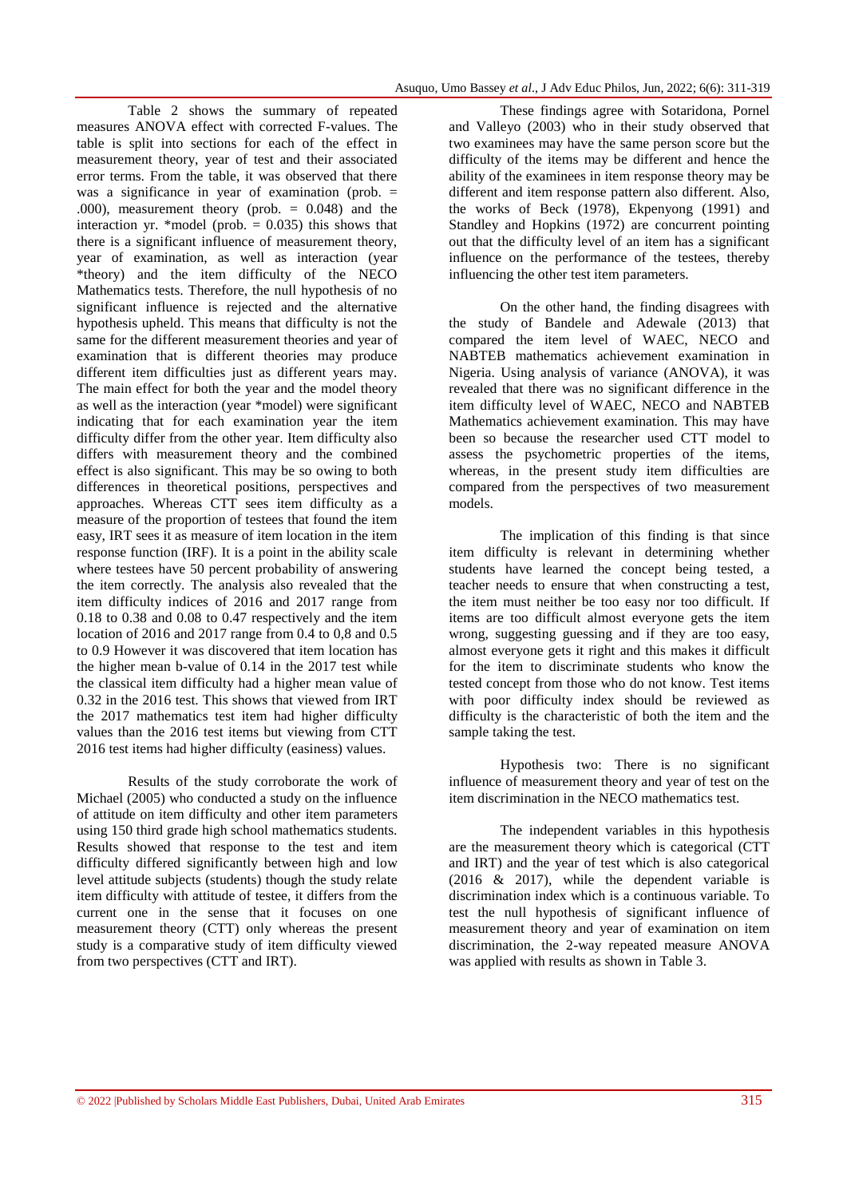Table 2 shows the summary of repeated measures ANOVA effect with corrected F-values. The table is split into sections for each of the effect in measurement theory, year of test and their associated error terms. From the table, it was observed that there was a significance in year of examination (prob. = .000), measurement theory (prob. = 0.048) and the interaction yr. \*model (prob.  $= 0.035$ ) this shows that there is a significant influence of measurement theory, year of examination, as well as interaction (year \*theory) and the item difficulty of the NECO Mathematics tests. Therefore, the null hypothesis of no significant influence is rejected and the alternative hypothesis upheld. This means that difficulty is not the same for the different measurement theories and year of examination that is different theories may produce different item difficulties just as different years may. The main effect for both the year and the model theory as well as the interaction (year \*model) were significant indicating that for each examination year the item difficulty differ from the other year. Item difficulty also differs with measurement theory and the combined effect is also significant. This may be so owing to both differences in theoretical positions, perspectives and approaches. Whereas CTT sees item difficulty as a measure of the proportion of testees that found the item easy, IRT sees it as measure of item location in the item response function (IRF). It is a point in the ability scale where testees have 50 percent probability of answering the item correctly. The analysis also revealed that the item difficulty indices of 2016 and 2017 range from 0.18 to 0.38 and 0.08 to 0.47 respectively and the item location of 2016 and 2017 range from 0.4 to 0,8 and 0.5 to 0.9 However it was discovered that item location has the higher mean b-value of 0.14 in the 2017 test while the classical item difficulty had a higher mean value of 0.32 in the 2016 test. This shows that viewed from IRT the 2017 mathematics test item had higher difficulty values than the 2016 test items but viewing from CTT 2016 test items had higher difficulty (easiness) values.

Results of the study corroborate the work of Michael (2005) who conducted a study on the influence of attitude on item difficulty and other item parameters using 150 third grade high school mathematics students. Results showed that response to the test and item difficulty differed significantly between high and low level attitude subjects (students) though the study relate item difficulty with attitude of testee, it differs from the current one in the sense that it focuses on one measurement theory (CTT) only whereas the present study is a comparative study of item difficulty viewed from two perspectives (CTT and IRT).

These findings agree with Sotaridona, Pornel and Valleyo (2003) who in their study observed that two examinees may have the same person score but the difficulty of the items may be different and hence the ability of the examinees in item response theory may be different and item response pattern also different. Also, the works of Beck (1978), Ekpenyong (1991) and Standley and Hopkins (1972) are concurrent pointing out that the difficulty level of an item has a significant influence on the performance of the testees, thereby influencing the other test item parameters.

On the other hand, the finding disagrees with the study of Bandele and Adewale (2013) that compared the item level of WAEC, NECO and NABTEB mathematics achievement examination in Nigeria. Using analysis of variance (ANOVA), it was revealed that there was no significant difference in the item difficulty level of WAEC, NECO and NABTEB Mathematics achievement examination. This may have been so because the researcher used CTT model to assess the psychometric properties of the items, whereas, in the present study item difficulties are compared from the perspectives of two measurement models.

The implication of this finding is that since item difficulty is relevant in determining whether students have learned the concept being tested, a teacher needs to ensure that when constructing a test, the item must neither be too easy nor too difficult. If items are too difficult almost everyone gets the item wrong, suggesting guessing and if they are too easy, almost everyone gets it right and this makes it difficult for the item to discriminate students who know the tested concept from those who do not know. Test items with poor difficulty index should be reviewed as difficulty is the characteristic of both the item and the sample taking the test.

Hypothesis two: There is no significant influence of measurement theory and year of test on the item discrimination in the NECO mathematics test.

The independent variables in this hypothesis are the measurement theory which is categorical (CTT and IRT) and the year of test which is also categorical (2016 & 2017), while the dependent variable is discrimination index which is a continuous variable. To test the null hypothesis of significant influence of measurement theory and year of examination on item discrimination, the 2-way repeated measure ANOVA was applied with results as shown in Table 3.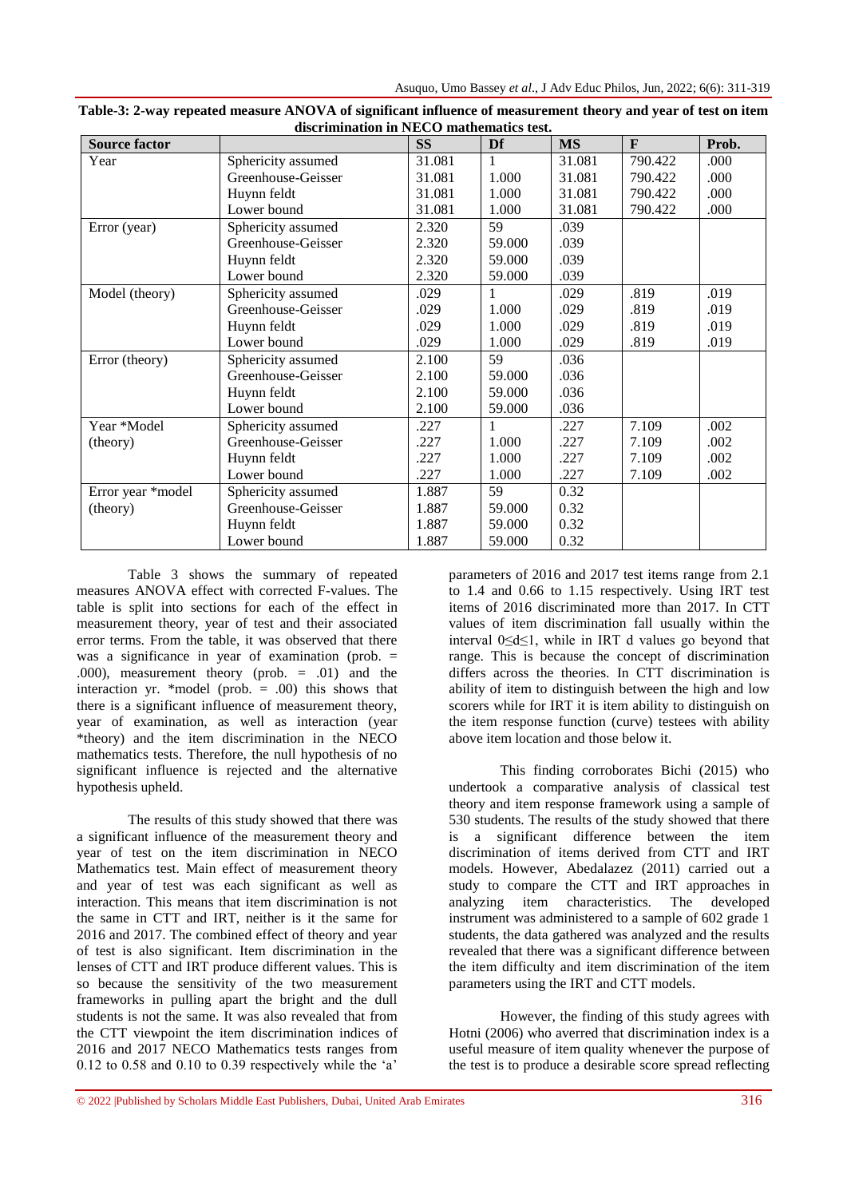| <b>Source factor</b> |                    | <b>SS</b> | Df     | <b>MS</b> | F       | Prob. |
|----------------------|--------------------|-----------|--------|-----------|---------|-------|
| Year                 | Sphericity assumed | 31.081    | 1      | 31.081    | 790.422 | .000  |
|                      | Greenhouse-Geisser | 31.081    | 1.000  | 31.081    | 790.422 | .000  |
|                      | Huynn feldt        | 31.081    | 1.000  | 31.081    | 790.422 | .000  |
|                      | Lower bound        | 31.081    | 1.000  | 31.081    | 790.422 | .000  |
| Error (year)         | Sphericity assumed | 2.320     | 59     | .039      |         |       |
|                      | Greenhouse-Geisser | 2.320     | 59.000 | .039      |         |       |
|                      | Huynn feldt        | 2.320     | 59.000 | .039      |         |       |
|                      | Lower bound        | 2.320     | 59.000 | .039      |         |       |
| Model (theory)       | Sphericity assumed | .029      | 1      | .029      | .819    | .019  |
|                      | Greenhouse-Geisser | .029      | 1.000  | .029      | .819    | .019  |
|                      | Huynn feldt        | .029      | 1.000  | .029      | .819    | .019  |
|                      | Lower bound        | .029      | 1.000  | .029      | .819    | .019  |
| Error (theory)       | Sphericity assumed | 2.100     | 59     | .036      |         |       |
|                      | Greenhouse-Geisser | 2.100     | 59.000 | .036      |         |       |
|                      | Huynn feldt        | 2.100     | 59.000 | .036      |         |       |
|                      | Lower bound        | 2.100     | 59.000 | .036      |         |       |
| Year *Model          | Sphericity assumed | .227      | 1      | .227      | 7.109   | .002  |
| (theory)             | Greenhouse-Geisser | .227      | 1.000  | .227      | 7.109   | .002  |
|                      | Huynn feldt        | .227      | 1.000  | .227      | 7.109   | .002  |
|                      | Lower bound        | .227      | 1.000  | .227      | 7.109   | .002  |
| Error year *model    | Sphericity assumed | 1.887     | 59     | 0.32      |         |       |
| (theory)             | Greenhouse-Geisser | 1.887     | 59.000 | 0.32      |         |       |
|                      | Huynn feldt        | 1.887     | 59.000 | 0.32      |         |       |
|                      | Lower bound        | 1.887     | 59.000 | 0.32      |         |       |

**Table-3: 2-way repeated measure ANOVA of significant influence of measurement theory and year of test on item discrimination in NECO mathematics test.**

Table 3 shows the summary of repeated measures ANOVA effect with corrected F-values. The table is split into sections for each of the effect in measurement theory, year of test and their associated error terms. From the table, it was observed that there was a significance in year of examination (prob. = .000), measurement theory (prob. = .01) and the interaction yr. \*model (prob.  $= .00$ ) this shows that there is a significant influence of measurement theory, year of examination, as well as interaction (year \*theory) and the item discrimination in the NECO mathematics tests. Therefore, the null hypothesis of no significant influence is rejected and the alternative hypothesis upheld.

The results of this study showed that there was a significant influence of the measurement theory and year of test on the item discrimination in NECO Mathematics test. Main effect of measurement theory and year of test was each significant as well as interaction. This means that item discrimination is not the same in CTT and IRT, neither is it the same for 2016 and 2017. The combined effect of theory and year of test is also significant. Item discrimination in the lenses of CTT and IRT produce different values. This is so because the sensitivity of the two measurement frameworks in pulling apart the bright and the dull students is not the same. It was also revealed that from the CTT viewpoint the item discrimination indices of 2016 and 2017 NECO Mathematics tests ranges from  $0.12$  to  $0.58$  and  $0.10$  to  $0.39$  respectively while the 'a'

parameters of 2016 and 2017 test items range from 2.1 to 1.4 and 0.66 to 1.15 respectively. Using IRT test items of 2016 discriminated more than 2017. In CTT values of item discrimination fall usually within the interval 0≤d≤1, while in IRT d values go beyond that range. This is because the concept of discrimination differs across the theories. In CTT discrimination is ability of item to distinguish between the high and low scorers while for IRT it is item ability to distinguish on the item response function (curve) testees with ability above item location and those below it.

This finding corroborates Bichi (2015) who undertook a comparative analysis of classical test theory and item response framework using a sample of 530 students. The results of the study showed that there is a significant difference between the item discrimination of items derived from CTT and IRT models. However, Abedalazez (2011) carried out a study to compare the CTT and IRT approaches in analyzing item characteristics. The developed instrument was administered to a sample of 602 grade 1 students, the data gathered was analyzed and the results revealed that there was a significant difference between the item difficulty and item discrimination of the item parameters using the IRT and CTT models.

However, the finding of this study agrees with Hotni (2006) who averred that discrimination index is a useful measure of item quality whenever the purpose of the test is to produce a desirable score spread reflecting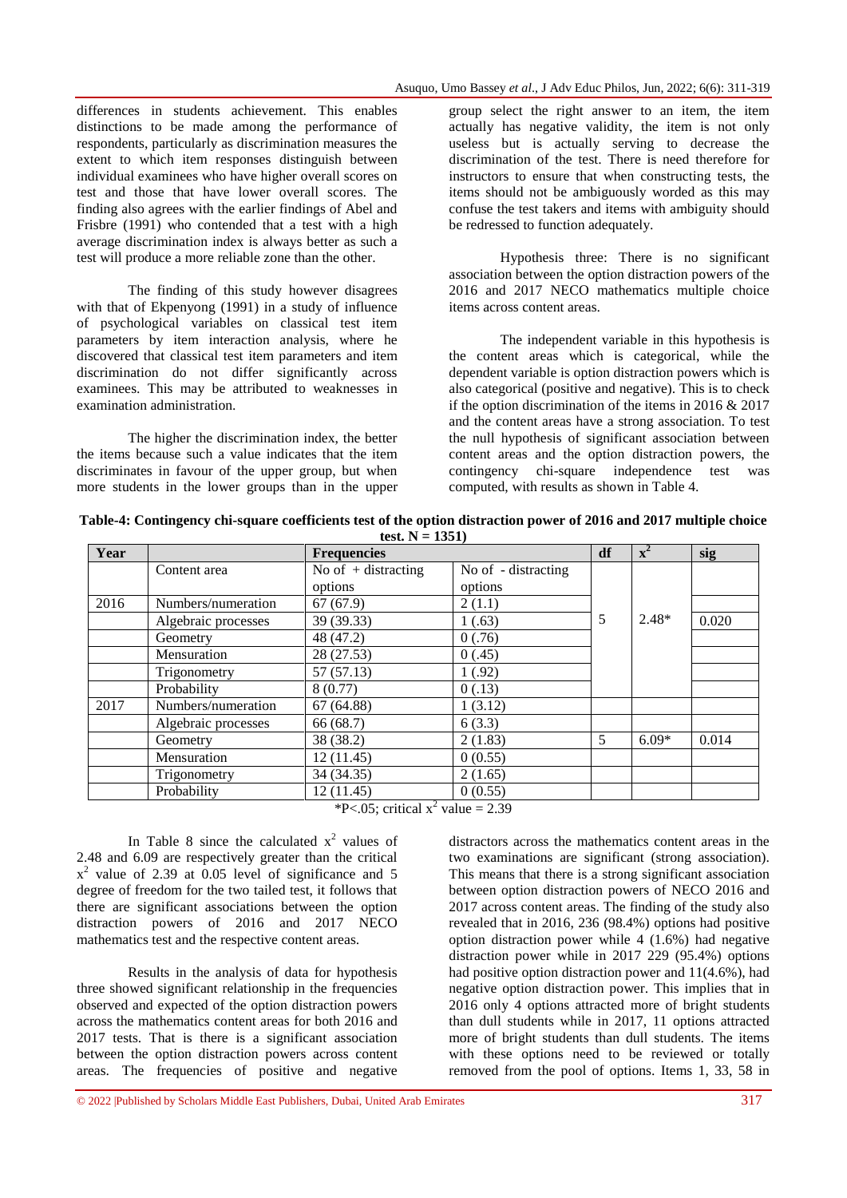differences in students achievement. This enables distinctions to be made among the performance of respondents, particularly as discrimination measures the extent to which item responses distinguish between individual examinees who have higher overall scores on test and those that have lower overall scores. The finding also agrees with the earlier findings of Abel and Frisbre (1991) who contended that a test with a high average discrimination index is always better as such a test will produce a more reliable zone than the other.

The finding of this study however disagrees with that of Ekpenyong (1991) in a study of influence of psychological variables on classical test item parameters by item interaction analysis, where he discovered that classical test item parameters and item discrimination do not differ significantly across examinees. This may be attributed to weaknesses in examination administration.

The higher the discrimination index, the better the items because such a value indicates that the item discriminates in favour of the upper group, but when more students in the lower groups than in the upper

group select the right answer to an item, the item actually has negative validity, the item is not only useless but is actually serving to decrease the discrimination of the test. There is need therefore for instructors to ensure that when constructing tests, the items should not be ambiguously worded as this may confuse the test takers and items with ambiguity should be redressed to function adequately.

Hypothesis three: There is no significant association between the option distraction powers of the 2016 and 2017 NECO mathematics multiple choice items across content areas.

The independent variable in this hypothesis is the content areas which is categorical, while the dependent variable is option distraction powers which is also categorical (positive and negative). This is to check if the option discrimination of the items in 2016 & 2017 and the content areas have a strong association. To test the null hypothesis of significant association between content areas and the option distraction powers, the contingency chi-square independence test was computed, with results as shown in Table 4.

|  | Table-4: Contingency chi-square coefficients test of the option distraction power of 2016 and 2017 multiple choice |                  |  |  |  |
|--|--------------------------------------------------------------------------------------------------------------------|------------------|--|--|--|
|  |                                                                                                                    | test. $N = 1351$ |  |  |  |

| Year |                     | <b>Frequencies</b>    | df                  | $\mathbf{x}^2$ | sig     |       |
|------|---------------------|-----------------------|---------------------|----------------|---------|-------|
|      | Content area        | No of $+$ distracting | No of - distracting |                |         |       |
|      |                     | options               | options             |                |         |       |
| 2016 | Numbers/numeration  | 67(67.9)              | 2(1.1)              |                |         |       |
|      | Algebraic processes | 39 (39.33)            | 1(.63)              | 5              | $2.48*$ | 0.020 |
|      | Geometry            | 48 (47.2)             | 0(.76)              |                |         |       |
|      | Mensuration         | 28 (27.53)            | 0(.45)              |                |         |       |
|      | Trigonometry        | 57(57.13)             | 1(.92)              |                |         |       |
|      | Probability         | 8(0.77)               | 0(.13)              |                |         |       |
| 2017 | Numbers/numeration  | 67(64.88)             | 1(3.12)             |                |         |       |
|      | Algebraic processes | 66 (68.7)             | 6(3.3)              |                |         |       |
|      | Geometry            | 38 (38.2)             | 2(1.83)             | 5              | $6.09*$ | 0.014 |
|      | Mensuration         | 12(11.45)             | 0(0.55)             |                |         |       |
|      | Trigonometry        | 34 (34.35)            | 2(1.65)             |                |         |       |
|      | Probability         | 12(11.45)             | 0(0.55)             |                |         |       |

\*P<.05; critical  $x^2$  value = 2.39

In Table 8 since the calculated  $x^2$  values of 2.48 and 6.09 are respectively greater than the critical  $x^2$  value of 2.39 at 0.05 level of significance and 5 degree of freedom for the two tailed test, it follows that there are significant associations between the option distraction powers of 2016 and 2017 NECO mathematics test and the respective content areas.

Results in the analysis of data for hypothesis three showed significant relationship in the frequencies observed and expected of the option distraction powers across the mathematics content areas for both 2016 and 2017 tests. That is there is a significant association between the option distraction powers across content areas. The frequencies of positive and negative

distractors across the mathematics content areas in the two examinations are significant (strong association). This means that there is a strong significant association between option distraction powers of NECO 2016 and 2017 across content areas. The finding of the study also revealed that in 2016, 236 (98.4%) options had positive option distraction power while  $4(1.6%)$  had negative distraction power while in 2017 229 (95.4%) options had positive option distraction power and 11(4.6%), had negative option distraction power. This implies that in 2016 only 4 options attracted more of bright students than dull students while in 2017, 11 options attracted more of bright students than dull students. The items with these options need to be reviewed or totally removed from the pool of options. Items 1, 33, 58 in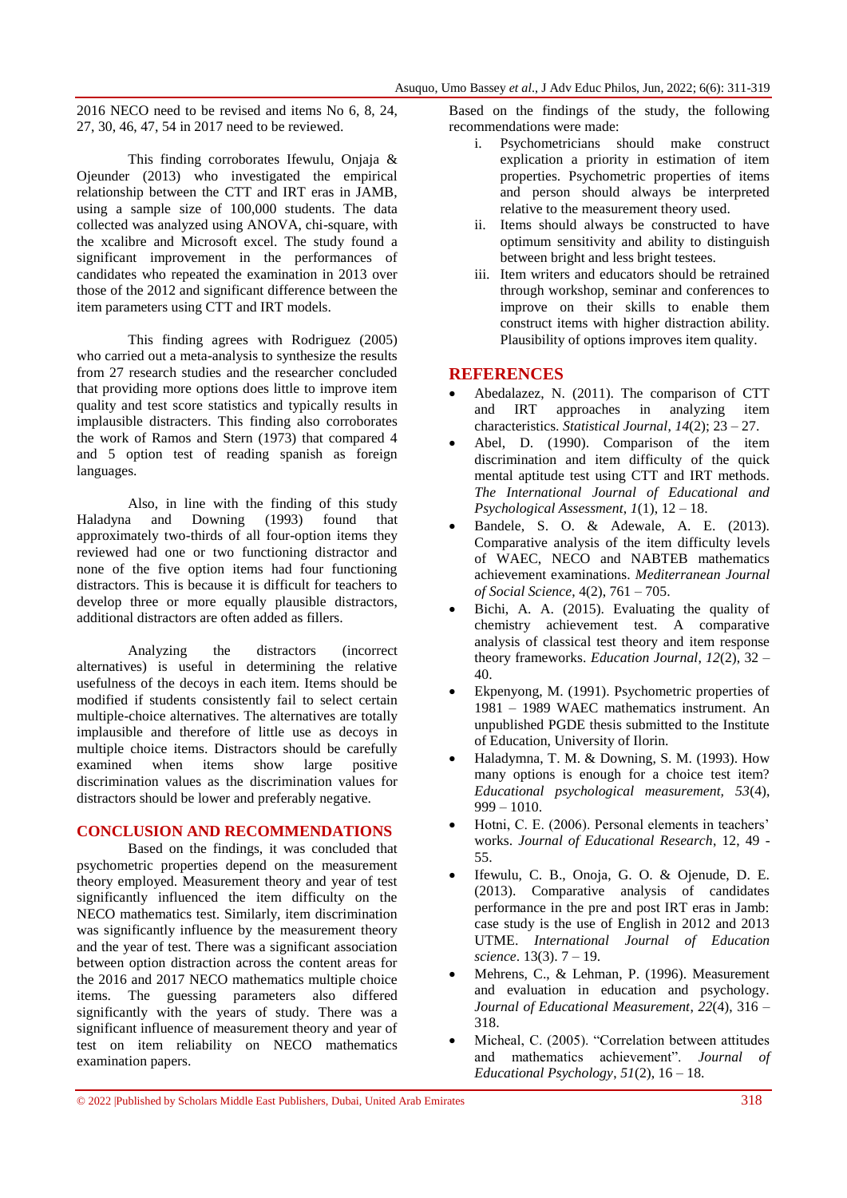2016 NECO need to be revised and items No 6, 8, 24, 27, 30, 46, 47, 54 in 2017 need to be reviewed.

This finding corroborates Ifewulu, Onjaja & Ojeunder (2013) who investigated the empirical relationship between the CTT and IRT eras in JAMB, using a sample size of 100,000 students. The data collected was analyzed using ANOVA, chi-square, with the xcalibre and Microsoft excel. The study found a significant improvement in the performances of candidates who repeated the examination in 2013 over those of the 2012 and significant difference between the item parameters using CTT and IRT models.

This finding agrees with Rodriguez (2005) who carried out a meta-analysis to synthesize the results from 27 research studies and the researcher concluded that providing more options does little to improve item quality and test score statistics and typically results in implausible distracters. This finding also corroborates the work of Ramos and Stern (1973) that compared 4 and 5 option test of reading spanish as foreign languages.

Also, in line with the finding of this study Haladyna and Downing (1993) found that approximately two-thirds of all four-option items they reviewed had one or two functioning distractor and none of the five option items had four functioning distractors. This is because it is difficult for teachers to develop three or more equally plausible distractors, additional distractors are often added as fillers.

Analyzing the distractors (incorrect alternatives) is useful in determining the relative usefulness of the decoys in each item. Items should be modified if students consistently fail to select certain multiple-choice alternatives. The alternatives are totally implausible and therefore of little use as decoys in multiple choice items. Distractors should be carefully examined when items show large positive discrimination values as the discrimination values for distractors should be lower and preferably negative.

#### **CONCLUSION AND RECOMMENDATIONS**

Based on the findings, it was concluded that psychometric properties depend on the measurement theory employed. Measurement theory and year of test significantly influenced the item difficulty on the NECO mathematics test. Similarly, item discrimination was significantly influence by the measurement theory and the year of test. There was a significant association between option distraction across the content areas for the 2016 and 2017 NECO mathematics multiple choice items. The guessing parameters also differed significantly with the years of study. There was a significant influence of measurement theory and year of test on item reliability on NECO mathematics examination papers.

Based on the findings of the study, the following recommendations were made:

- i. Psychometricians should make construct explication a priority in estimation of item properties. Psychometric properties of items and person should always be interpreted relative to the measurement theory used.
- ii. Items should always be constructed to have optimum sensitivity and ability to distinguish between bright and less bright testees.
- iii. Item writers and educators should be retrained through workshop, seminar and conferences to improve on their skills to enable them construct items with higher distraction ability. Plausibility of options improves item quality.

## **REFERENCES**

- Abedalazez, N. (2011). The comparison of CTT and IRT approaches in analyzing item characteristics. *Statistical Journal*, *14*(2); 23 – 27.
- Abel, D. (1990). Comparison of the item discrimination and item difficulty of the quick mental aptitude test using CTT and IRT methods. *The International Journal of Educational and Psychological Assessment*, *1*(1), 12 – 18.
- Bandele, S. O. & Adewale, A. E. (2013). Comparative analysis of the item difficulty levels of WAEC, NECO and NABTEB mathematics achievement examinations. *Mediterranean Journal of Social Science*, 4(2), 761 – 705.
- Bichi, A. A. (2015). Evaluating the quality of chemistry achievement test. A comparative analysis of classical test theory and item response theory frameworks. *Education Journal*, *12*(2), 32 – 40.
- Ekpenyong, M. (1991). Psychometric properties of 1981 – 1989 WAEC mathematics instrument. An unpublished PGDE thesis submitted to the Institute of Education, University of Ilorin.
- Haladymna, T. M. & Downing, S. M. (1993). How many options is enough for a choice test item? *Educational psychological measurement, 53*(4),  $999 - 1010.$
- Hotni, C. E. (2006). Personal elements in teachers' works. *Journal of Educational Research*, 12, 49 - 55.
- Ifewulu, C. B., Onoja, G. O. & Ojenude, D. E. (2013). Comparative analysis of candidates performance in the pre and post IRT eras in Jamb: case study is the use of English in 2012 and 2013 UTME. *International Journal of Education science*. 13(3). 7 – 19.
- Mehrens, C., & Lehman, P. (1996). Measurement and evaluation in education and psychology. *Journal of Educational Measurement*, *22*(4), 316 – 318.
- Micheal, C. (2005). "Correlation between attitudes and mathematics achievement". *Journal of Educational Psychology*, *51*(2), 16 – 18.